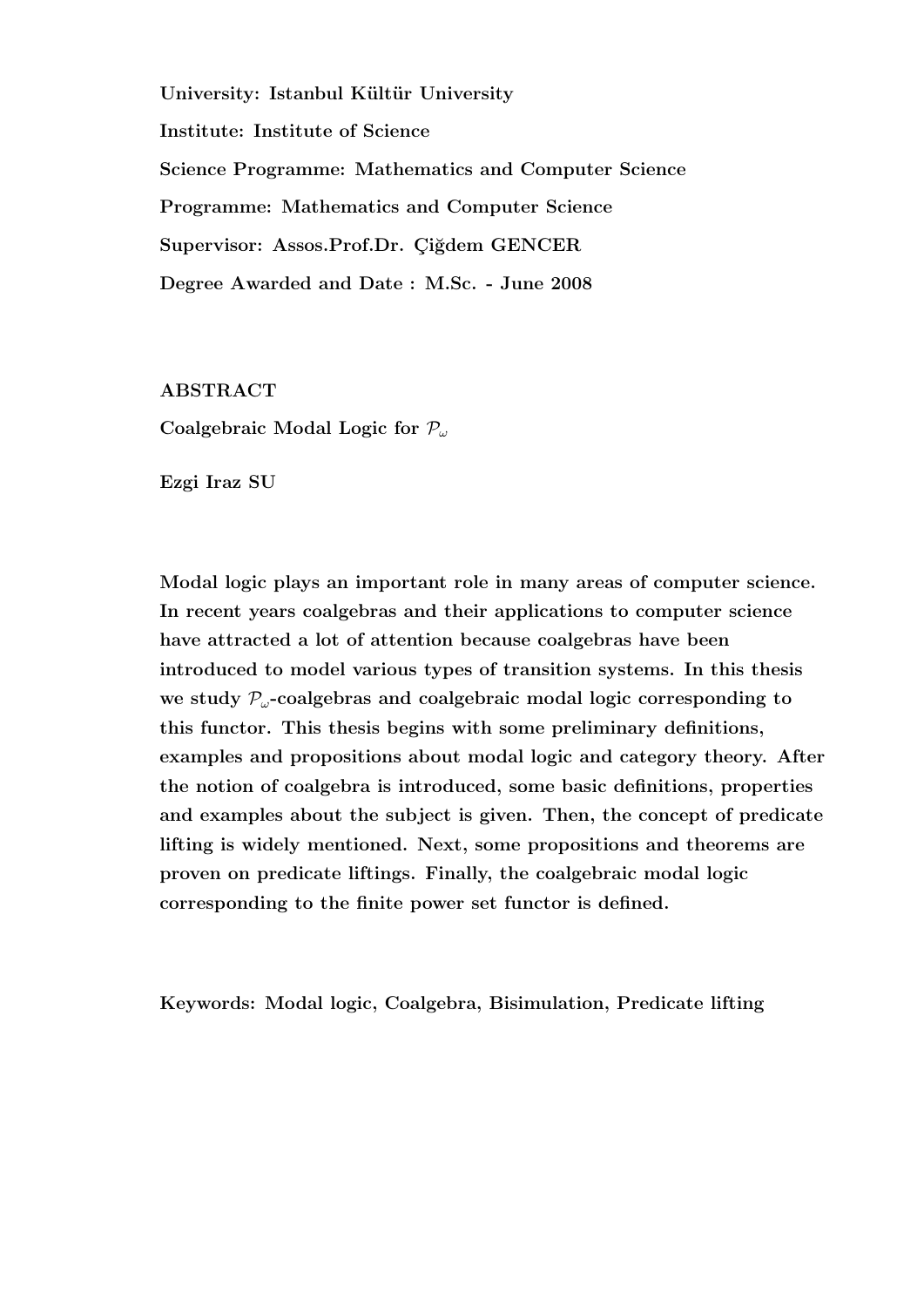University: Istanbul Kültür University Institute: Institute of Science Science Programme: Mathematics and Computer Science Programme: Mathematics and Computer Science Supervisor: Assos.Prof.Dr. Ciğdem GENCER Degree Awarded and Date : M.Sc. - June 2008

ABSTRACT

Coalgebraic Modal Logic for  $\mathcal{P}_{\omega}$ 

Ezgi Iraz SU

Modal logic plays an important role in many areas of computer science. In recent years coalgebras and their applications to computer science have attracted a lot of attention because coalgebras have been introduced to model various types of transition systems. In this thesis we study  $P_{\omega}$ -coalgebras and coalgebraic modal logic corresponding to this functor. This thesis begins with some preliminary definitions, examples and propositions about modal logic and category theory. After the notion of coalgebra is introduced, some basic definitions, properties and examples about the subject is given. Then, the concept of predicate lifting is widely mentioned. Next, some propositions and theorems are proven on predicate liftings. Finally, the coalgebraic modal logic corresponding to the finite power set functor is defined.

Keywords: Modal logic, Coalgebra, Bisimulation, Predicate lifting